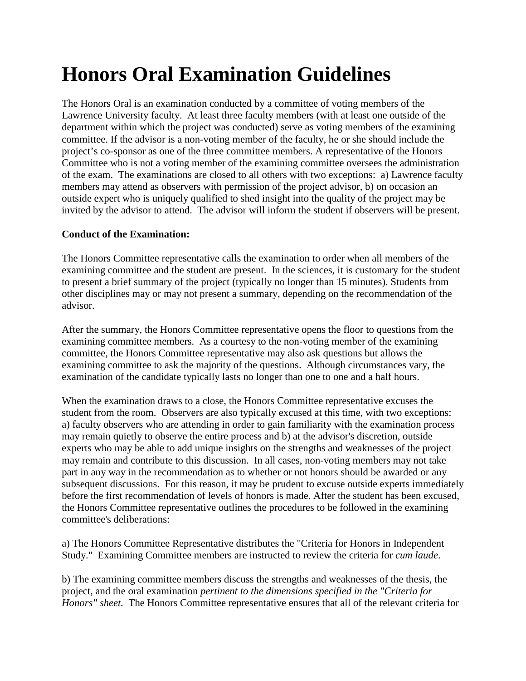## **Honors Oral Examination Guidelines**

The Honors Oral is an examination conducted by a committee of voting members of the Lawrence University faculty. At least three faculty members (with at least one outside of the department within which the project was conducted) serve as voting members of the examining committee. If the advisor is a non-voting member of the faculty, he or she should include the project's co-sponsor as one of the three committee members. A representative of the Honors Committee who is not a voting member of the examining committee oversees the administration of the exam. The examinations are closed to all others with two exceptions: a) Lawrence faculty members may attend as observers with permission of the project advisor, b) on occasion an outside expert who is uniquely qualified to shed insight into the quality of the project may be invited by the advisor to attend. The advisor will inform the student if observers will be present.

## **Conduct of the Examination:**

The Honors Committee representative calls the examination to order when all members of the examining committee and the student are present. In the sciences, it is customary for the student to present a brief summary of the project (typically no longer than 15 minutes). Students from other disciplines may or may not present a summary, depending on the recommendation of the advisor.

After the summary, the Honors Committee representative opens the floor to questions from the examining committee members. As a courtesy to the non-voting member of the examining committee, the Honors Committee representative may also ask questions but allows the examining committee to ask the majority of the questions. Although circumstances vary, the examination of the candidate typically lasts no longer than one to one and a half hours.

When the examination draws to a close, the Honors Committee representative excuses the student from the room. Observers are also typically excused at this time, with two exceptions: a) faculty observers who are attending in order to gain familiarity with the examination process may remain quietly to observe the entire process and b) at the advisor's discretion, outside experts who may be able to add unique insights on the strengths and weaknesses of the project may remain and contribute to this discussion. In all cases, non-voting members may not take part in any way in the recommendation as to whether or not honors should be awarded or any subsequent discussions. For this reason, it may be prudent to excuse outside experts immediately before the first recommendation of levels of honors is made. After the student has been excused, the Honors Committee representative outlines the procedures to be followed in the examining committee's deliberations:

a) The Honors Committee Representative distributes the "Criteria for Honors in Independent Study." Examining Committee members are instructed to review the criteria for *cum laude*.

b) The examining committee members discuss the strengths and weaknesses of the thesis, the project, and the oral examination *pertinent to the dimensions specified in the "Criteria for Honors" sheet.* The Honors Committee representative ensures that all of the relevant criteria for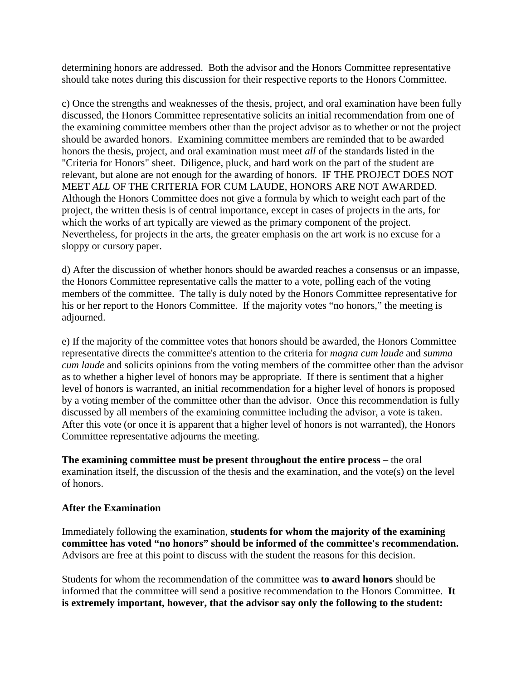determining honors are addressed. Both the advisor and the Honors Committee representative should take notes during this discussion for their respective reports to the Honors Committee.

c) Once the strengths and weaknesses of the thesis, project, and oral examination have been fully discussed, the Honors Committee representative solicits an initial recommendation from one of the examining committee members other than the project advisor as to whether or not the project should be awarded honors. Examining committee members are reminded that to be awarded honors the thesis, project, and oral examination must meet *all* of the standards listed in the "Criteria for Honors" sheet. Diligence, pluck, and hard work on the part of the student are relevant, but alone are not enough for the awarding of honors. IF THE PROJECT DOES NOT MEET *ALL* OF THE CRITERIA FOR CUM LAUDE, HONORS ARE NOT AWARDED. Although the Honors Committee does not give a formula by which to weight each part of the project, the written thesis is of central importance, except in cases of projects in the arts, for which the works of art typically are viewed as the primary component of the project. Nevertheless, for projects in the arts, the greater emphasis on the art work is no excuse for a sloppy or cursory paper.

d) After the discussion of whether honors should be awarded reaches a consensus or an impasse, the Honors Committee representative calls the matter to a vote, polling each of the voting members of the committee. The tally is duly noted by the Honors Committee representative for his or her report to the Honors Committee. If the majority votes "no honors," the meeting is adjourned.

e) If the majority of the committee votes that honors should be awarded, the Honors Committee representative directs the committee's attention to the criteria for *magna cum laude* and *summa cum laude* and solicits opinions from the voting members of the committee other than the advisor as to whether a higher level of honors may be appropriate. If there is sentiment that a higher level of honors is warranted, an initial recommendation for a higher level of honors is proposed by a voting member of the committee other than the advisor. Once this recommendation is fully discussed by all members of the examining committee including the advisor, a vote is taken. After this vote (or once it is apparent that a higher level of honors is not warranted), the Honors Committee representative adjourns the meeting.

**The examining committee must be present throughout the entire process** – the oral examination itself, the discussion of the thesis and the examination, and the vote(s) on the level of honors.

## **After the Examination**

Immediately following the examination, **students for whom the majority of the examining committee has voted "no honors" should be informed of the committee's recommendation.** Advisors are free at this point to discuss with the student the reasons for this decision.

Students for whom the recommendation of the committee was **to award honors** should be informed that the committee will send a positive recommendation to the Honors Committee. **It is extremely important, however, that the advisor say only the following to the student:**